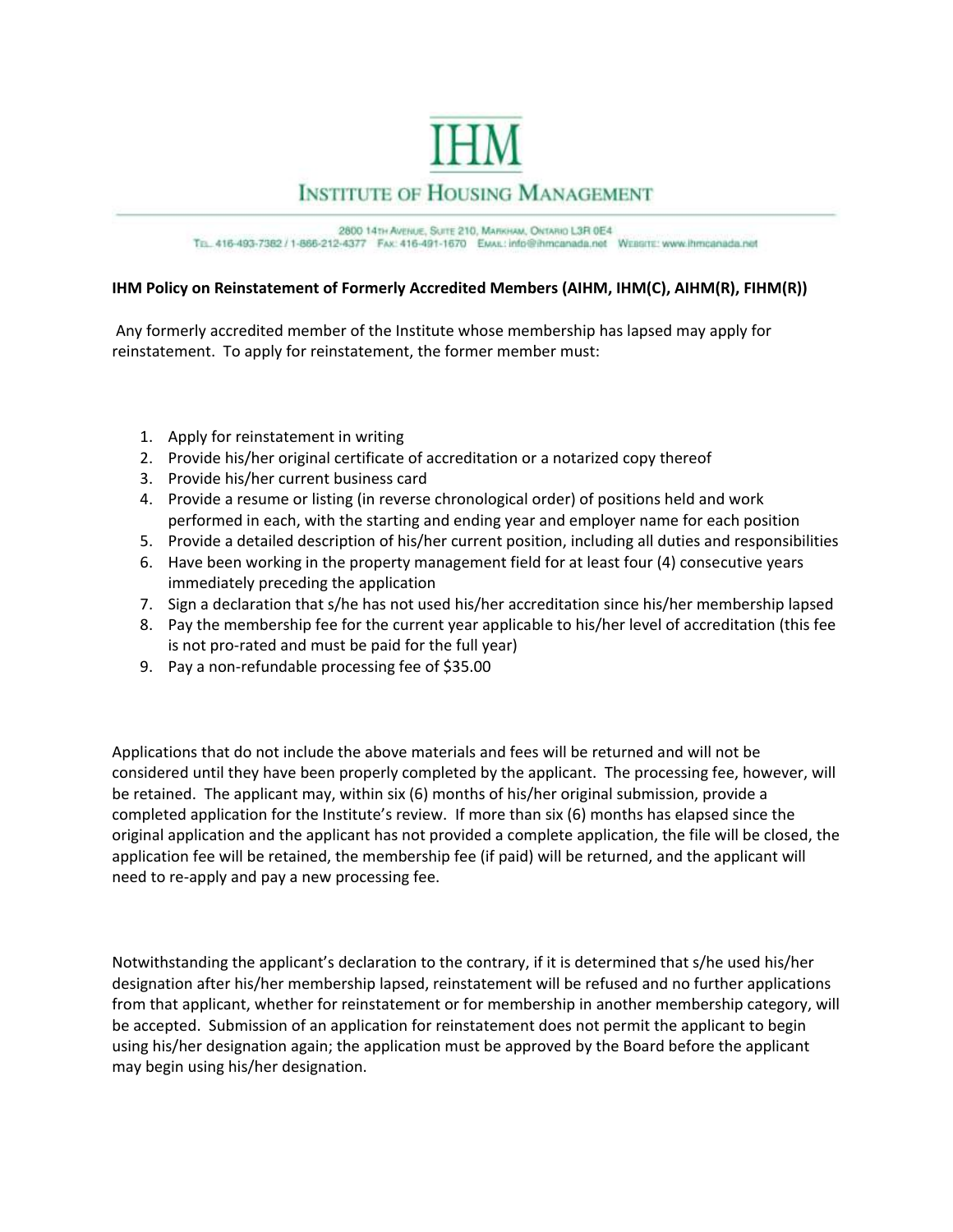

## **INSTITUTE OF HOUSING MANAGEMENT**

2800 141H AVENUE, SUITE 210, MARKHAM, ONTARIO L3R 0E4 Tr. 416-493-7382 / 1-866-212-4377 FAX: 416-491-1670 EMAIL: info@ihmcanada.net Wirasmi: www.ihmcanada.net

## **IHM Policy on Reinstatement of Formerly Accredited Members (AIHM, IHM(C), AIHM(R), FIHM(R))**

Any formerly accredited member of the Institute whose membership has lapsed may apply for reinstatement. To apply for reinstatement, the former member must:

- 1. Apply for reinstatement in writing
- 2. Provide his/her original certificate of accreditation or a notarized copy thereof
- 3. Provide his/her current business card
- 4. Provide a resume or listing (in reverse chronological order) of positions held and work performed in each, with the starting and ending year and employer name for each position
- 5. Provide a detailed description of his/her current position, including all duties and responsibilities
- 6. Have been working in the property management field for at least four (4) consecutive years immediately preceding the application
- 7. Sign a declaration that s/he has not used his/her accreditation since his/her membership lapsed
- 8. Pay the membership fee for the current year applicable to his/her level of accreditation (this fee is not pro-rated and must be paid for the full year)
- 9. Pay a non-refundable processing fee of \$35.00

Applications that do not include the above materials and fees will be returned and will not be considered until they have been properly completed by the applicant. The processing fee, however, will be retained. The applicant may, within six (6) months of his/her original submission, provide a completed application for the Institute's review. If more than six (6) months has elapsed since the original application and the applicant has not provided a complete application, the file will be closed, the application fee will be retained, the membership fee (if paid) will be returned, and the applicant will need to re-apply and pay a new processing fee.

Notwithstanding the applicant's declaration to the contrary, if it is determined that s/he used his/her designation after his/her membership lapsed, reinstatement will be refused and no further applications from that applicant, whether for reinstatement or for membership in another membership category, will be accepted. Submission of an application for reinstatement does not permit the applicant to begin using his/her designation again; the application must be approved by the Board before the applicant may begin using his/her designation.